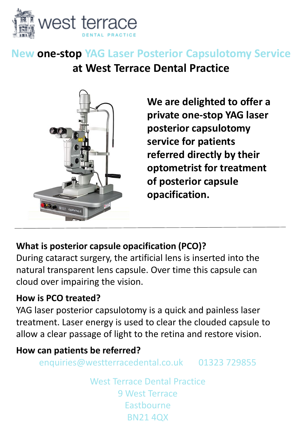

# **New one-stop YAG Laser Posterior Capsulotomy Service at West Terrace Dental Practice**



**We are delighted to offer a private one-stop YAG laser posterior capsulotomy service for patients referred directly by their optometrist for treatment of posterior capsule opacification.**

## **What is posterior capsule opacification (PCO)?**

During cataract surgery, the artificial lens is inserted into the natural transparent lens capsule. Over time this capsule can cloud over impairing the vision.

#### **How is PCO treated?**

YAG laser posterior capsulotomy is a quick and painless laser treatment. Laser energy is used to clear the clouded capsule to allow a clear passage of light to the retina and restore vision.

### **How can patients be referred?**

enquiries@westterracedental.co.uk 01323 729855

West Terrace Dental Practice 9 West Terrace Eastbourne BN21 4QX